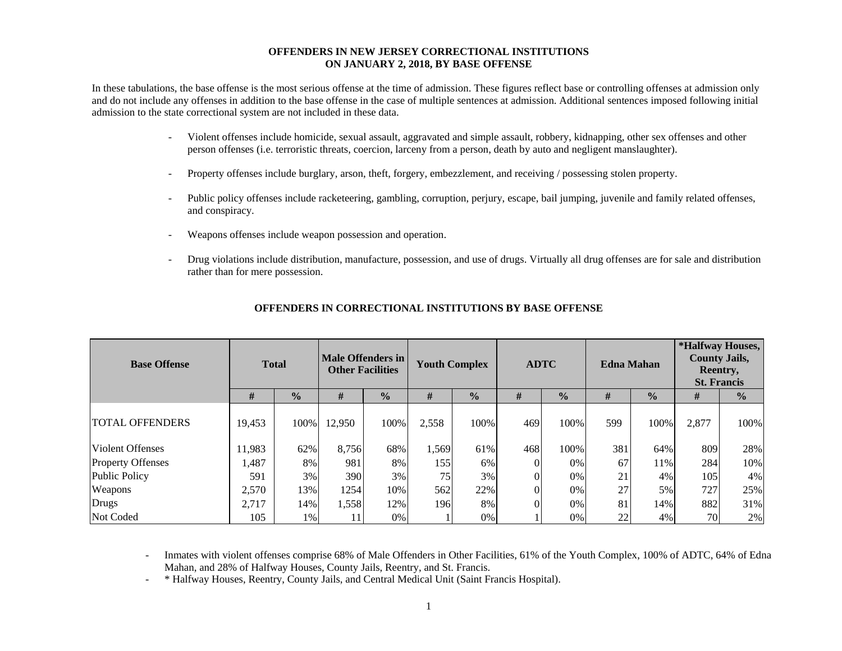#### **OFFENDERS IN NEW JERSEY CORRECTIONAL INSTITUTIONS ON JANUARY 2, 2018, BY BASE OFFENSE**

In these tabulations, the base offense is the most serious offense at the time of admission. These figures reflect base or controlling offenses at admission only and do not include any offenses in addition to the base offense in the case of multiple sentences at admission. Additional sentences imposed following initial admission to the state correctional system are not included in these data.

- - Violent offenses include homicide, sexual assault, aggravated and simple assault, robbery, kidnapping, other sex offenses and other person offenses (i.e. terroristic threats, coercion, larceny from a person, death by auto and negligent manslaughter).
- Property offenses include burglary, arson, theft, forgery, embezzlement, and receiving / possessing stolen property.
- Public policy offenses include racketeering, gambling, corruption, perjury, escape, bail jumping, juvenile and family related offenses, and conspiracy.
- Weapons offenses include weapon possession and operation.
- Drug violations include distribution, manufacture, possession, and use of drugs. Virtually all drug offenses are for sale and distribution rather than for mere possession.

| <b>Base Offense</b>      | <b>Total</b> |               | <b>Male Offenders in</b><br><b>Other Facilities</b> |               | <b>Youth Complex</b> |               | <b>ADTC</b> |               |     | <b>Edna Mahan</b> | *Halfway Houses,<br><b>County Jails,</b><br>Reentry,<br><b>St. Francis</b> |               |  |
|--------------------------|--------------|---------------|-----------------------------------------------------|---------------|----------------------|---------------|-------------|---------------|-----|-------------------|----------------------------------------------------------------------------|---------------|--|
|                          | #            | $\frac{1}{2}$ | #                                                   | $\frac{0}{0}$ | #                    | $\frac{0}{2}$ | #           | $\frac{0}{0}$ | #   | $\frac{0}{0}$     | #                                                                          | $\frac{0}{0}$ |  |
| <b>TOTAL OFFENDERS</b>   | 19,453       | 100%          | 12,950                                              | 100%          | 2,558                | 100%          | 469         | 100%          | 599 | 100%              | 2,877                                                                      | 100%          |  |
| Violent Offenses         | 11,983       | 62%           | 8,756                                               | 68%           | 1,569                | 61%           | 468         | 100%          | 381 | 64%               | 809                                                                        | 28%           |  |
| <b>Property Offenses</b> | 1,487        | 8%            | 981                                                 | 8%            | 155                  | 6%            |             | 0%            | 67  | 11%               | 284                                                                        | 10%           |  |
| <b>Public Policy</b>     | 591          | 3%            | 390                                                 | 3%            | 75                   | 3%            |             | 0%            | 21  | 4%                | 105                                                                        | 4%            |  |
| Weapons                  | 2,570        | 13%           | 1254                                                | 10%           | 562                  | 22%           |             | 0%            | 27  | 5%                | 727                                                                        | 25%           |  |
| Drugs                    | 2,717        | 14%           | 1,558                                               | 12%           | 196                  | 8%            |             | 0%            | 81  | 14%               | 882                                                                        | 31%           |  |
| Not Coded                | 105          | 1%            |                                                     | 0%            |                      | 0%            |             | 0%            | 22  | 4%                | 70                                                                         | 2%            |  |

#### **OFFENDERS IN CORRECTIONAL INSTITUTIONS BY BASE OFFENSE**

 Inmates with violent offenses comprise 68% of Male Offenders in Other Facilities, 61% of the Youth Complex, 100% of ADTC, 64% of Edna Mahan, and 28% of Halfway Houses, County Jails, Reentry, and St. Francis.

-\* Halfway Houses, Reentry, County Jails, and Central Medical Unit (Saint Francis Hospital).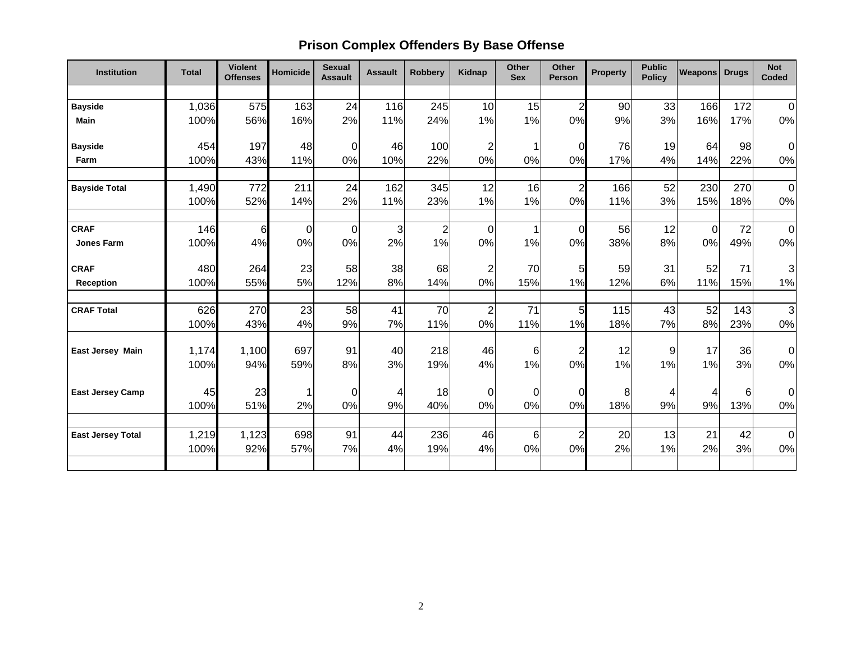# **Prison Complex Offenders By Base Offense**

| Institution              | <b>Total</b>  | <b>Violent</b><br><b>Offenses</b> | Homicide    | <b>Sexual</b><br><b>Assault</b> | <b>Assault</b> | <b>Robbery</b> | Kidnap                | Other<br><b>Sex</b> | <b>Other</b><br><b>Person</b> | <b>Property</b> | <b>Public</b><br><b>Policy</b> | <b>Weapons</b> | <b>Drugs</b> | <b>Not</b><br>Coded     |
|--------------------------|---------------|-----------------------------------|-------------|---------------------------------|----------------|----------------|-----------------------|---------------------|-------------------------------|-----------------|--------------------------------|----------------|--------------|-------------------------|
|                          |               |                                   |             |                                 |                |                |                       |                     |                               |                 |                                |                |              |                         |
| <b>Bayside</b>           | 1,036         | 575                               | 163         | 24                              | 116            | 245            | 10                    | 15                  | $\overline{2}$                | 90              | 33                             | 166            | 172          | $\overline{0}$          |
| Main                     | 100%          | 56%                               | 16%         | 2%                              | 11%            | 24%            | 1%                    | 1%                  | 0%                            | 9%              | 3%                             | 16%            | 17%          | $0\%$                   |
| <b>Bayside</b>           | 454           | 197                               | 48          | $\overline{0}$                  | 46             | 100            | $\mathbf{2}^{\prime}$ | $\mathbf{1}$        | $\Omega$                      | 76              | 19                             | 64             | 98           | $\overline{0}$          |
| Farm                     | 100%          | 43%                               | 11%         | 0%                              | 10%            | 22%            | 0%                    | 0%                  | 0%                            | 17%             | 4%                             | 14%            | 22%          | $0\%$                   |
| <b>Bayside Total</b>     | 1,490<br>100% | 772<br>52%                        | 211<br>14%  | 24<br>2%                        | 162<br>11%     | 345<br>23%     | 12<br>1%              | 16<br>1%            | $\overline{2}$<br>0%          | 166<br>11%      | 52<br>3%                       | 230<br>15%     | 270<br>18%   | $\overline{0}$<br>$0\%$ |
|                          |               |                                   |             |                                 |                |                |                       |                     |                               |                 |                                |                |              |                         |
| <b>CRAF</b>              | 146           | 6                                 | $\mathbf 0$ | $\overline{0}$                  | $\overline{3}$ | $\overline{2}$ | $\mathbf 0$           | 1                   | $\Omega$                      | 56              | 12                             | $\mathbf 0$    | 72           | $\overline{0}$          |
| Jones Farm               | 100%          | 4%                                | 0%          | 0%                              | 2%             | 1%             | 0%                    | 1%                  | 0%                            | 38%             | 8%                             | 0%             | 49%          | $0\%$                   |
| <b>CRAF</b>              | 480           | 264                               | 23          | 58                              | 38             | 68             | $\mathbf 2$           | 70                  | 5                             | 59              | 31                             | 52             | 71           | $\overline{3}$          |
| <b>Reception</b>         | 100%          | 55%                               | 5%          | 12%                             | 8%             | 14%            | 0%                    | 15%                 | 1%                            | 12%             | 6%                             | 11%            | 15%          | 1%                      |
| <b>CRAF Total</b>        | 626           | 270                               | 23          | 58                              | 41             | 70             | $\overline{2}$        | 71                  | 5                             | 115             | 43                             | 52             | 143          | $\overline{3}$          |
|                          | 100%          | 43%                               | 4%          | 9%                              | 7%             | 11%            | 0%                    | 11%                 | 1%                            | 18%             | 7%                             | 8%             | 23%          | 0%                      |
| <b>East Jersey Main</b>  | 1,174         | 1,100                             | 697         | 91                              | 40             | 218            | 46                    | 6                   | $\overline{2}$                | 12              | 9                              | 17             | 36           | $\overline{0}$          |
|                          | 100%          | 94%                               | 59%         | 8%                              | 3%             | 19%            | 4%                    | 1%                  | 0%                            | 1%              | 1%                             | 1%             | 3%           | $0\%$                   |
| <b>East Jersey Camp</b>  | 45            | 23                                | 1           | 0                               | 4              | 18             | $\mathbf 0$           | $\mathbf 0$         | 0                             | 8               | 4                              | 4              | 6            | $\overline{0}$          |
|                          | 100%          | 51%                               | 2%          | 0%                              | 9%             | 40%            | 0%                    | 0%                  | 0%                            | 18%             | 9%                             | 9%             | 13%          | $0\%$                   |
| <b>East Jersey Total</b> | 1,219         | 1,123                             | 698         | 91                              | 44             | 236            | 46                    | 6                   | 2                             | 20              | 13                             | 21             | 42           | $\overline{0}$          |
|                          | 100%          | 92%                               | 57%         | 7%                              | 4%             | 19%            | 4%                    | 0%                  | 0%                            | 2%              | 1%                             | 2%             | 3%           | $0\%$                   |
|                          |               |                                   |             |                                 |                |                |                       |                     |                               |                 |                                |                |              |                         |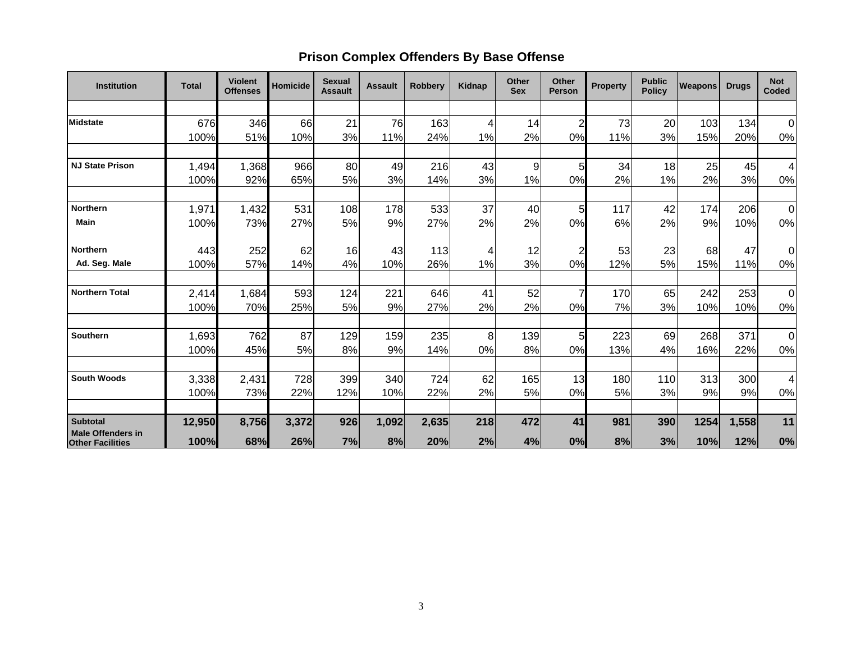## **Prison Complex Offenders By Base Offense**

| <b>Institution</b>                          | <b>Total</b> | <b>Violent</b><br><b>Offenses</b> | Homicide | <b>Sexual</b><br><b>Assault</b> | <b>Assault</b> | <b>Robbery</b> | Kidnap | Other<br><b>Sex</b> | Other<br><b>Person</b> | <b>Property</b> | <b>Public</b><br><b>Policy</b> | <b>Weapons</b> | <b>Drugs</b> | <b>Not</b><br><b>Coded</b> |
|---------------------------------------------|--------------|-----------------------------------|----------|---------------------------------|----------------|----------------|--------|---------------------|------------------------|-----------------|--------------------------------|----------------|--------------|----------------------------|
|                                             |              |                                   |          |                                 |                |                |        |                     |                        |                 |                                |                |              |                            |
| Midstate                                    | 676          | 346                               | 66       | 21                              | 76             | 163            | 4      | 14                  | $\overline{2}$         | 73              | 20                             | 103            | 134          | 0                          |
|                                             | 100%         | 51%                               | 10%      | 3%                              | 11%            | 24%            | 1%     | 2%                  | 0%                     | 11%             | 3%                             | 15%            | 20%          | $0\%$                      |
| <b>NJ State Prison</b>                      | 1,494        | 1,368                             | 966      | 80                              | 49             | 216            | 43     | 9                   | 5                      | 34              | 18                             | 25             | 45           | 4                          |
|                                             | 100%         | 92%                               | 65%      | 5%                              | 3%             | 14%            | 3%     | 1%                  | 0%                     | 2%              | 1%                             | 2%             | 3%           | $0\%$                      |
| <b>Northern</b>                             | 1,971        |                                   | 531      | 108                             | 178            | 533            | 37     | 40                  | 5                      | 117             | 42                             | 174            | 206          | 0                          |
| <b>Main</b>                                 | 100%         | 1,432<br>73%                      | 27%      | 5%                              | 9%             | 27%            | 2%     | 2%                  | 0%                     | 6%              | 2%                             | 9%             | 10%          | $0\%$                      |
| <b>Northern</b>                             | 443          | 252                               | 62       | 16                              | 43             | 113            | 4      | 12                  | $\overline{2}$         | 53              | 23                             | 68             | 47           | 0l                         |
| Ad. Seg. Male                               | 100%         | 57%                               | 14%      | 4%                              | 10%            | 26%            | 1%     | 3%                  | 0%                     | 12%             | 5%                             | 15%            | 11%          | 0%                         |
| <b>Northern Total</b>                       | 2,414        | 1,684                             | 593      | 124                             | 221            | 646            | 41     | 52                  | 7                      | 170             | 65                             | 242            | 253          | $\overline{0}$             |
|                                             | 100%         | 70%                               | 25%      | 5%                              | 9%             | 27%            | 2%     | 2%                  | 0%                     | 7%              | 3%                             | 10%            | 10%          | 0%                         |
| Southern                                    | 1,693        | 762                               | 87       | 129                             | 159            | 235            | 8      | 139                 | 5                      | 223             | 69                             | 268            | 371          | $\overline{0}$             |
|                                             | 100%         | 45%                               | 5%       | 8%                              | 9%             | 14%            | 0%     | 8%                  | 0%                     | 13%             | 4%                             | 16%            | 22%          | 0%                         |
| <b>South Woods</b>                          | 3,338        | 2,431                             | 728      | 399                             | 340            | 724            | 62     | 165                 | 13                     | 180             | 110                            | 313            | 300          | 4                          |
|                                             | 100%         | 73%                               | 22%      | 12%                             | 10%            | 22%            | 2%     | 5%                  | 0%                     | 5%              | 3%                             | 9%             | 9%           | $0\%$                      |
|                                             |              |                                   |          |                                 |                |                |        |                     |                        |                 |                                |                |              |                            |
| <b>Subtotal</b><br><b>Male Offenders in</b> | 12,950       | 8,756                             | 3,372    | 926                             | 1,092          | 2,635          | 218    | 472                 | 41                     | 981             | 390                            | 1254           | 1,558        | 11                         |
| <b>Other Facilities</b>                     | 100%         | 68%                               | 26%      | 7%                              | 8%             | 20%            | 2%     | 4%                  | 0%                     | 8%              | 3%                             | 10%            | 12%          | 0%                         |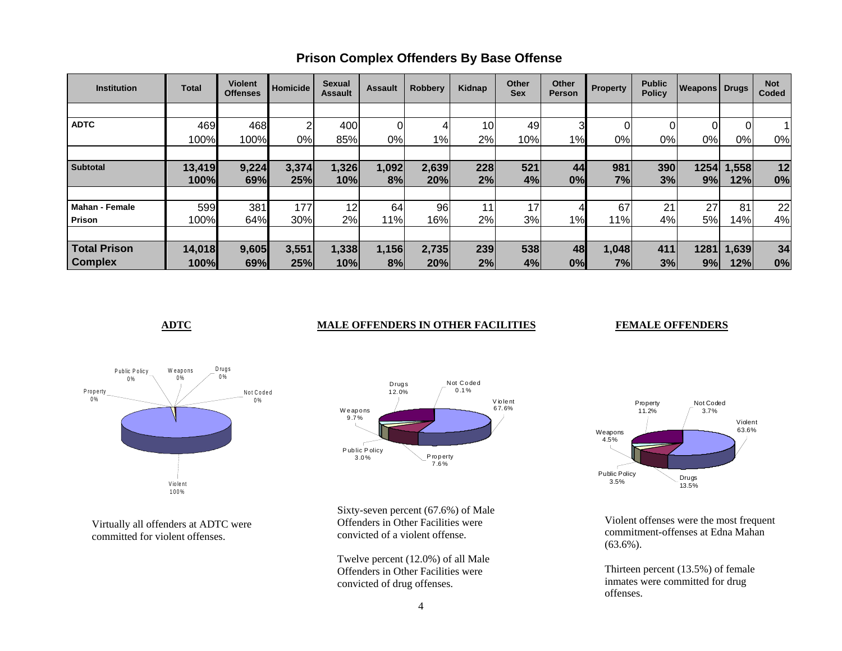| <b>Institution</b>    | <b>Total</b> | <b>Violent</b><br><b>Offenses</b> | <b>Homicide</b> | Sexual<br><b>Assault</b> | <b>Assault</b> | <b>Robbery</b> | Kidnap          | <b>Other</b><br><b>Sex</b> | Other<br>Person | <b>Property</b> | <b>Public</b><br><b>Policy</b> | <b>Weapons Drugs</b> |                | <b>Not</b><br>Coded |
|-----------------------|--------------|-----------------------------------|-----------------|--------------------------|----------------|----------------|-----------------|----------------------------|-----------------|-----------------|--------------------------------|----------------------|----------------|---------------------|
|                       |              |                                   |                 |                          |                |                |                 |                            |                 |                 |                                |                      |                |                     |
| <b>ADTC</b>           | 469          | 468                               | 2               | 400                      |                | 4              | 10 <sub>1</sub> | 49                         | 31              | 01              |                                | 0                    | $\overline{0}$ |                     |
|                       | 100%         | 100%                              | 0%              | 85%                      | 0%             | 1%             | 2%              | 10%                        | 1%              | 0%l             | 0%                             | 0%                   | $0\%$          | 0%                  |
|                       |              |                                   |                 |                          |                |                |                 |                            |                 |                 |                                |                      |                |                     |
| <b>Subtotal</b>       | 13,419       | 9,224                             | 3,374           | 1,326                    | 1,092          | 2,639          | 228             | 521                        | 44              | 981             | 390                            | 1254                 | 1,558          | 12                  |
|                       | 100%         | 69%                               | 25%             | 10%                      | 8%             | 20%            | 2%              | 4%                         | 0%              | 7%              | 3%                             | 9%                   | 12%            | 0%                  |
|                       |              |                                   |                 |                          |                |                |                 |                            |                 |                 |                                |                      |                |                     |
| <b>Mahan - Female</b> | 599          | 381                               | 177             | 12                       | 64             | 96             | 11              | 17 <sub>1</sub>            |                 | 67              | 21                             | 27                   | 81             | 22                  |
| Prison                | 100%         | 64%                               | 30%             | 2%                       | 11%            | 16%            | 2%              | 3%                         | 1%              | 11%             | 4%                             | 5%                   | 14%            | 4%                  |
|                       |              |                                   |                 |                          |                |                |                 |                            |                 |                 |                                |                      |                |                     |
| <b>Total Prison</b>   | 14,018       | 9,605                             | 3,551           | 1,338                    | 1,156          | 2,735          | 239             | 538                        | 48              | 1,048           | 411                            | 1281                 | 1,639          | 34                  |
| <b>Complex</b>        | 100%         | 69%                               | 25%             | 10%                      | 8%             | 20%l           | 2%              | 4%                         | 0%              | 7%              | 3%                             | 9%                   | 12%            | 0%                  |

## **Prison Complex Offenders By Base Offense**

### **ADTC** MALE OFFENDERS IN OTHER FACILITIES

#### **FEMALE OFFENDERS**



Virtually all offenders at ADTC were committed for violent offenses.



Sixty-seven percent (67.6%) of Male Offenders in Other Facilities were convicted of a violent offense.

Twelve percent (12.0%) of all Male Offenders in Other Facilities were convicted of drug offenses.



Violent offenses were the most frequent commitment-offenses at Edna Mahan (63.6%).

Thirteen percent (13.5%) of female inmates were committed for drug offenses.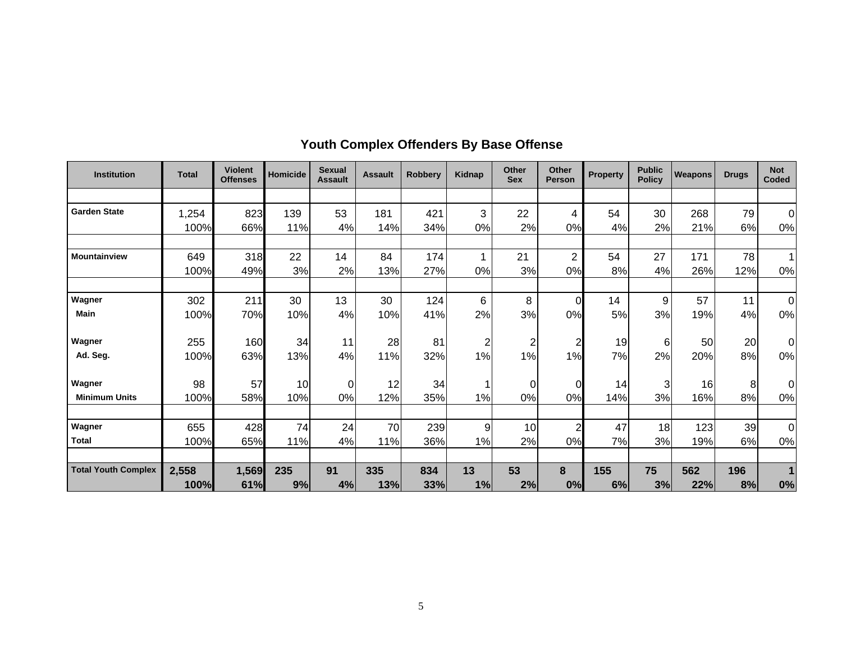| <b>Institution</b>         | <b>Total</b> | <b>Violent</b><br><b>Offenses</b> | Homicide | <b>Sexual</b><br><b>Assault</b> | <b>Assault</b> | <b>Robberv</b> | <b>Kidnap</b>  | Other<br><b>Sex</b> | Other<br><b>Person</b> | <b>Property</b> | <b>Public</b><br><b>Policy</b> | <b>Weapons</b> | <b>Drugs</b> | <b>Not</b><br>Coded |
|----------------------------|--------------|-----------------------------------|----------|---------------------------------|----------------|----------------|----------------|---------------------|------------------------|-----------------|--------------------------------|----------------|--------------|---------------------|
|                            |              |                                   |          |                                 |                |                |                |                     |                        |                 |                                |                |              |                     |
| <b>Garden State</b>        | 1,254        | 823                               | 139      | 53                              | 181            | 421            | 3              | 22                  | 4                      | 54              | 30                             | 268            | 79           | $\Omega$            |
|                            | 100%         | 66%                               | 11%      | 4%                              | 14%            | 34%            | 0%             | 2%                  | 0%                     | 4%              | 2%                             | 21%            | 6%           | 0%                  |
| <b>Mountainview</b>        | 649          | 318                               | 22       | 14                              | 84             | 174            | 1              | 21                  | $\overline{2}$         | 54              | 27                             | 171            | 78           |                     |
|                            | 100%         | 49%                               | 3%       | 2%                              | 13%            | 27%            | 0%             | 3%                  | 0%                     | 8%              | 4%                             | 26%            | 12%          | 0%                  |
|                            |              |                                   |          |                                 |                |                |                |                     |                        |                 |                                |                |              |                     |
| Wagner                     | 302          | 211                               | 30       | 13                              | 30             | 124            | 6              | 8                   | $\overline{0}$         | 14              | 9                              | 57             | 11           | $\Omega$            |
| <b>Main</b>                | 100%         | 70%                               | 10%      | 4%                              | 10%            | 41%            | 2%             | 3%                  | 0%                     | 5%              | 3%                             | 19%            | 4%           | 0%                  |
| Wagner                     | 255          | 160                               | 34       | 11                              | 28             | 81             | $\overline{c}$ | $\overline{c}$      | $\overline{c}$         | 19              | $6 \mid$                       | 50             | 20           | $\Omega$            |
| Ad. Seg.                   | 100%         | 63%                               | 13%      | 4%                              | 11%            | 32%            | 1%             | 1%                  | 1%                     | 7%              | 2%                             | 20%            | 8%           | 0%                  |
| Wagner                     | 98           | 57                                | 10       | $\Omega$                        | 12             | 34             |                | 0                   | $\overline{0}$         | 14              | 3                              | 16             | 8            | $\Omega$            |
| <b>Minimum Units</b>       | 100%         | 58%                               | 10%      | 0%                              | 12%            | 35%            | 1%             | 0%                  | 0%                     | 14%             | 3%                             | 16%            | 8%           | 0%                  |
|                            |              |                                   |          |                                 |                |                |                |                     |                        |                 |                                |                |              |                     |
| Wagner                     | 655          | 428                               | 74       | 24                              | 70             | 239            | 9              | 10                  | $\overline{a}$         | 47              | 18                             | 123            | 39           | $\Omega$            |
| <b>Total</b>               | 100%         | 65%                               | 11%      | 4%                              | 11%            | 36%            | 1%             | 2%                  | 0%                     | 7%              | 3%                             | 19%            | 6%           | 0%                  |
| <b>Total Youth Complex</b> | 2,558        | 1,569                             | 235      | 91                              | 335            | 834            | 13             | 53                  | 8                      | 155             | 75                             | 562            | 196          |                     |
|                            | 100%         | 61%                               | 9%       | 4%                              | 13%            | 33%            | 1%             | 2%                  | 0%                     | 6%              | 3%                             | 22%            | 8%           | 0%                  |

## **Youth Complex Offenders By Base Offense**